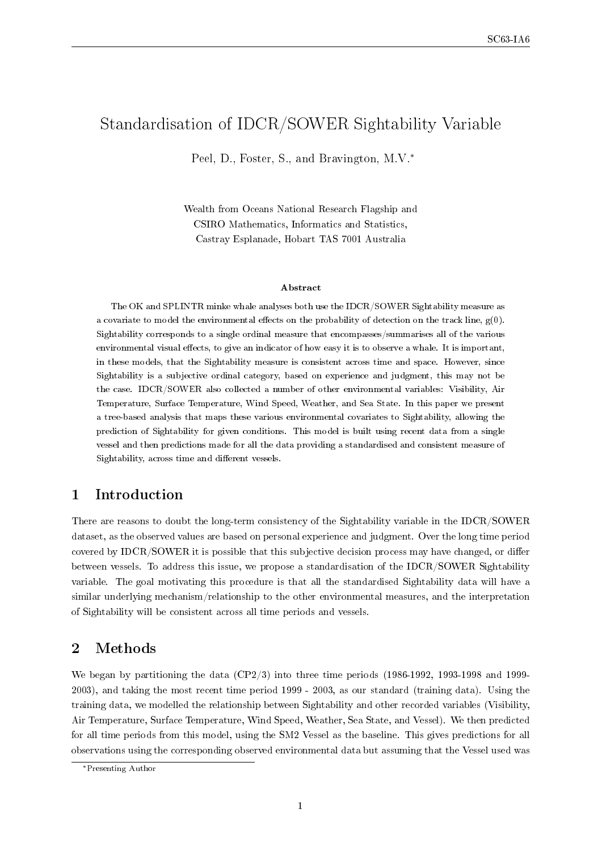# Standardisation of IDCR/SOWER Sightability Variable

Peel, D., Foster, S., and Bravington, M.V.<sup>∗</sup>

Wealth from Oceans National Research Flagship and CSIRO Mathematics, Informatics and Statistics, Castray Esplanade, Hobart TAS 7001 Australia

#### Abstract

The OK and SPLINTR minke whale analyses both use the IDCR/SOWER Sightability measure as a covariate to model the environmental effects on the probability of detection on the track line,  $g(0)$ . Sightability corresponds to a single ordinal measure that encompasses/summarises all of the various environmental visual effects, to give an indicator of how easy it is to observe a whale. It is important, in these models, that the Sightability measure is consistent across time and space. However, since Sightability is a subjective ordinal category, based on experience and judgment, this may not be the case. IDCR/SOWER also collected a number of other environmental variables: Visibility, Air Temperature, Surface Temperature, Wind Speed, Weather, and Sea State. In this paper we present a tree-based analysis that maps these various environmental covariates to Sightability, allowing the prediction of Sightability for given conditions. This model is built using recent data from a single vessel and then predictions made for all the data providing a standardised and consistent measure of Sightability, across time and different vessels.

### 1 Introduction

There are reasons to doubt the long-term consistency of the Sightability variable in the IDCR/SOWER dataset, as the observed values are based on personal experience and judgment. Over the long time period covered by IDCR/SOWER it is possible that this subjective decision process may have changed, or differ between vessels. To address this issue, we propose a standardisation of the IDCR/SOWER Sightability variable. The goal motivating this procedure is that all the standardised Sightability data will have a similar underlying mechanism/relationship to the other environmental measures, and the interpretation of Sightability will be consistent across all time periods and vessels.

#### 2 Methods

We began by partitioning the data (CP2/3) into three time periods (1986-1992, 1993-1998 and 1999- 2003), and taking the most recent time period 1999 - 2003, as our standard (training data). Using the training data, we modelled the relationship between Sightability and other recorded variables (Visibility, Air Temperature, Surface Temperature, Wind Speed, Weather, Sea State, and Vessel). We then predicted for all time periods from this model, using the SM2 Vessel as the baseline. This gives predictions for all observations using the corresponding observed environmental data but assuming that the Vessel used was

<sup>∗</sup>Presenting Author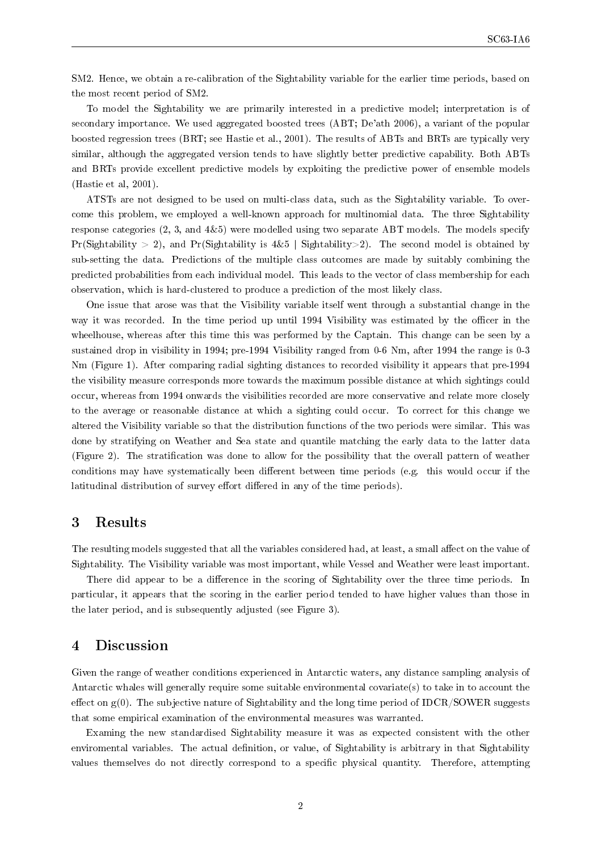SM2. Hence, we obtain a re-calibration of the Sightability variable for the earlier time periods, based on the most recent period of SM2.

To model the Sightability we are primarily interested in a predictive model; interpretation is of secondary importance. We used aggregated boosted trees (ABT; De'ath 2006), a variant of the popular boosted regression trees (BRT; see Hastie et al., 2001). The results of ABTs and BRTs are typically very similar, although the aggregated version tends to have slightly better predictive capability. Both ABTs and BRTs provide excellent predictive models by exploiting the predictive power of ensemble models (Hastie et al, 2001).

ATSTs are not designed to be used on multi-class data, such as the Sightability variable. To overcome this problem, we employed a well-known approach for multinomial data. The three Sightability response categories (2, 3, and 4&5) were modelled using two separate ABT models. The models specify Pr(Sightability > 2), and Pr(Sightability is  $4\&5$  | Sightability > 2). The second model is obtained by sub-setting the data. Predictions of the multiple class outcomes are made by suitably combining the predicted probabilities from each individual model. This leads to the vector of class membership for each observation, which is hard-clustered to produce a prediction of the most likely class.

One issue that arose was that the Visibility variable itself went through a substantial change in the way it was recorded. In the time period up until 1994 Visibility was estimated by the officer in the wheelhouse, whereas after this time this was performed by the Captain. This change can be seen by a sustained drop in visibility in 1994; pre-1994 Visibility ranged from 0-6 Nm, after 1994 the range is 0-3 Nm (Figure 1). After comparing radial sighting distances to recorded visibility it appears that pre-1994 the visibility measure corresponds more towards the maximum possible distance at which sightings could occur, whereas from 1994 onwards the visibilities recorded are more conservative and relate more closely to the average or reasonable distance at which a sighting could occur. To correct for this change we altered the Visibility variable so that the distribution functions of the two periods were similar. This was done by stratifying on Weather and Sea state and quantile matching the early data to the latter data (Figure 2). The stratication was done to allow for the possibility that the overall pattern of weather conditions may have systematically been different between time periods (e.g. this would occur if the latitudinal distribution of survey effort differed in any of the time periods).

#### 3 Results

The resulting models suggested that all the variables considered had, at least, a small affect on the value of Sightability. The Visibility variable was most important, while Vessel and Weather were least important.

There did appear to be a difference in the scoring of Sightability over the three time periods. In particular, it appears that the scoring in the earlier period tended to have higher values than those in the later period, and is subsequently adjusted (see Figure 3).

#### 4 Discussion

Given the range of weather conditions experienced in Antarctic waters, any distance sampling analysis of Antarctic whales will generally require some suitable environmental covariate(s) to take in to account the effect on  $g(0)$ . The subjective nature of Sightability and the long time period of IDCR/SOWER suggests that some empirical examination of the environmental measures was warranted.

Examing the new standardised Sightability measure it was as expected consistent with the other enviromental variables. The actual definition, or value, of Sightability is arbitrary in that Sightability values themselves do not directly correspond to a specific physical quantity. Therefore, attempting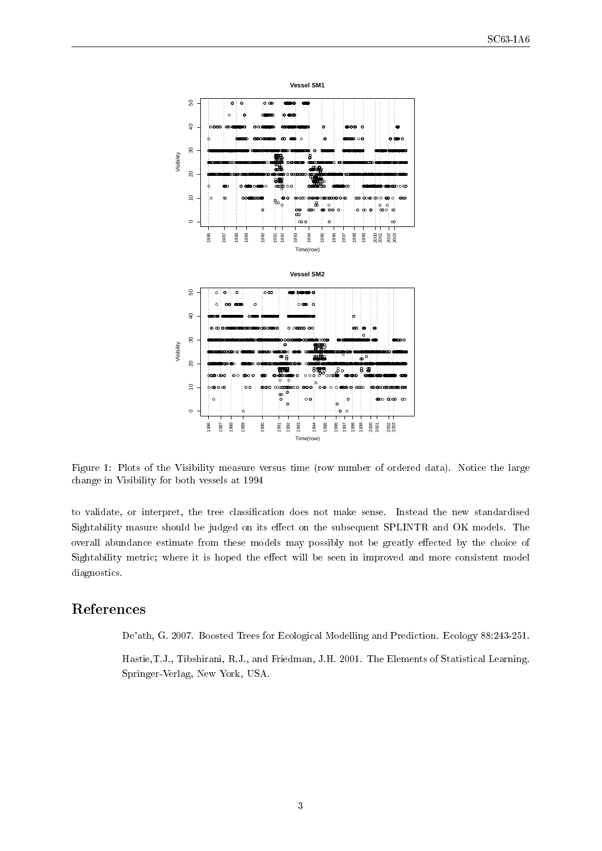

Figure 1: Plots of the Visibility measure versus time (row number of ordered data). Notice the large change in Visibility for both vessels at 1994

to validate, or interpret, the tree classification does not make sense. Instead the new standardised Sightability masure should be judged on its effect on the subsequent SPLINTR and OK models. The overall abundance estimate from these models may possibly not be greatly effected by the choice of Sightability metric; where it is hoped the effect will be seen in improved and more consistent model diagnostics.

## References

De'ath, G. 2007. Boosted Trees for Ecological Modelling and Prediction. Ecology 88:243-251.

Hastie,T.J., Tibshirani, R.J., and Friedman, J.H. 2001. The Elements of Statistical Learning. Springer-Verlag, New York, USA.